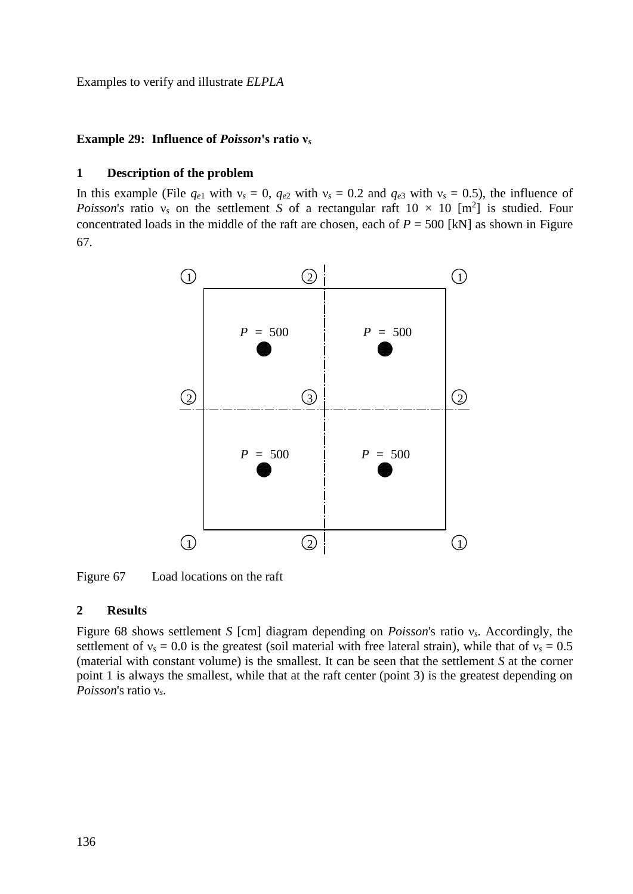Examples to verify and illustrate *ELPLA*

## **Example 29: Influence of** *Poisson***'s ratio ν***<sup>s</sup>*

## **1 Description of the problem**

In this example (File  $q_{e1}$  with  $v_s = 0$ ,  $q_{e2}$  with  $v_s = 0.2$  and  $q_{e3}$  with  $v_s = 0.5$ ), the influence of *Poisson's* ratio  $v_s$  on the settlement *S* of a rectangular raft  $10 \times 10$  [m<sup>2</sup>] is studied. Four concentrated loads in the middle of the raft are chosen, each of  $P = 500$  [kN] as shown in Figure [67.](#page-0-0)



<span id="page-0-0"></span>Figure 67 Load locations on the raft

## **2 Results**

[Figure 68](#page-1-0) shows settlement *S* [cm] diagram depending on *Poisson*'s ratio ν*s*. Accordingly, the settlement of  $v_s = 0.0$  is the greatest (soil material with free lateral strain), while that of  $v_s = 0.5$ (material with constant volume) is the smallest. It can be seen that the settlement *S* at the corner point 1 is always the smallest, while that at the raft center (point 3) is the greatest depending on *Poisson*'s ratio ν*s*.